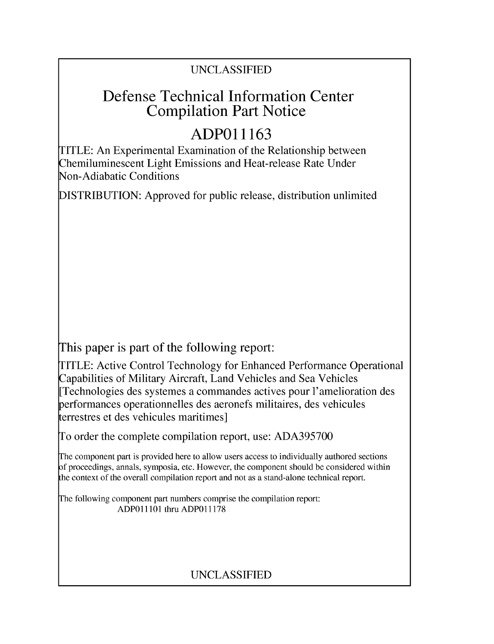### UNCLASSIFIED

## Defense Technical Information Center Compilation Part Notice

# **ADPO1 1163**

TITLE: An Experimental Examination of the Relationship between Chemiluminescent Light Emissions and Heat-release Rate Under Non-Adiabatic Conditions

DISTRIBUTION: Approved for public release, distribution unlimited

This paper is part of the following report:

TITLE: Active Control Technology for Enhanced Performance Operational Capabilities of Military Aircraft, Land Vehicles and Sea Vehicles [Technologies des systemes a commandes actives pour l'amelioration des performances operationnelles des aeronefs militaires, des vehicules terrestres et des vehicules maritimes]

To order the complete compilation report, use: ADA395700

The component part is provided here to allow users access to individually authored sections f proceedings, annals, symposia, etc. However, the component should be considered within [he context of the overall compilation report and not as a stand-alone technical report.

The following component part numbers comprise the compilation report: ADPO11101 thru ADP011178

## UNCLASSIFIED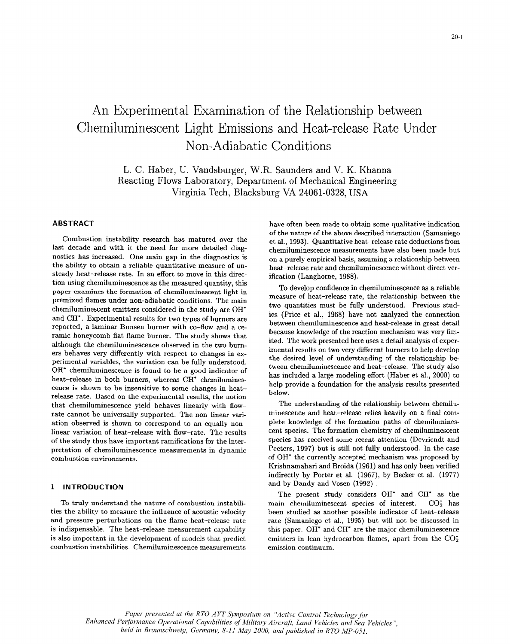## An Experimental Examination of the Relationship between Chemiluminescent Light Emissions and Heat-release Rate Under Non-Adiabatic Conditions

L. C. Haber, U. Vandsburger, W.R. Saunders and V. K. Khanna Reacting Flows Laboratory, Department of Mechanical Engineering Virginia Tech, Blacksburg VA 24061-0328, USA

### **ABSTRACT**

Combustion instability research has matured over the last decade and with it the need for more detailed diagnostics has increased. One main gap in the diagnostics is the ability to obtain a reliable quantitative measure of unsteady heat-release rate. In an effort to move in this direction using chemiluminescence as the measured quantity, this paper examines the formation of chemiluminescent light in premixed flames under non-adiabatic conditions. The main chemiluminescent emitters considered in the study are OH<sup>\*</sup> and CH<sup>\*</sup>. Experimental results for two types of burners are reported, a laminar Bunsen burner with co-flow and a ceramic honeycomb flat flame burner. The study shows that although the chemiluminescence observed in the two burners behaves very differently with respect to changes in experimental variables, the variation can be fully understood. OH\* chemiluminescence is found to be a good indicator of heat-release in both burners, whereas CH\* chemiluminescence is shown to be insensitive to some changes in heatrelease rate. Based on the experimental results, the notion that chemiluminescence yield behaves linearly with flowrate cannot be universally supported. The non-linear variation observed is shown to correspond to an equally nonlinear variation of heat-release with flow-rate. The results of the study thus have important ramifications for the interpretation of chemiluminescence measurements in dynamic combustion environments.

### 1 INTRODUCTION

To truly understand the nature of combustion instabilities the ability to measure the influence of acoustic velocity and pressure perturbations on the flame heat-release rate is indispensable. The heat-release measurement capability is also important in the development of models that predict combustion instabilities. Chemiluminescence measurements have often been made to obtain some qualitative indication of the nature of the above described interaction (Samaniego et al., 1993). Quantitative heat-release rate deductions from chemiluminescence measurements have also been made but on a purely empirical basis, assuming a relationship between heat-release rate and chemiluminescence without direct verification (Langhorne, 1988).

To develop confidence in chemiluminescence as a reliable measure of heat-release rate, the relationship between the two quantities must be fully understood. Previous studies (Price et al., 1968) have not analyzed the connection between chemiluminescence and heat-release in great detail because knowledge of the reaction mechanism was very limited. The work presented here uses a detail analysis of experimental results on two very different burners to help develop the desired level of understanding of the relationship between chemiluminescence and heat-release. The study also has included a large modeling effort (Haber et al., 2000) to help provide a foundation for the analysis results presented below.

The understanding of the relationship between chemiluminescence and heat-release relies heavily on a final complete knowledge of the formation paths of chemiluminescent species. The formation chemistry of chemiluminescent species has received some recent attention (Devriendt and Peeters, 1997) but is still not fully understood. In the case of OH<sup>\*</sup> the currently accepted mechanism was proposed by Krishnamahari and Broida (1961) and has only been verified indirectly by Porter et al. (1967), by Becker et al. (1977) and by Dandy and Vosen (1992).

The present study considers  $OH^*$  and  $CH^*$  as the main chemiluminescent species of interest.  $CO<sub>2</sub><sup>*</sup>$  has been studied as another possible indicator of heat-release rate (Samaniego et al., 1995) but will not be discussed in this paper. OH\* and CH\* are the major chemiluminescence emitters in lean hydrocarbon flames, apart from the  $CO_2^*$ emission continuum.

Paper presented at the RTO AVT Symposium on "Active Control Technology for Enhanced Performance Operational Capabilities of Military Aircraft, Land Vehicles and Sea Vehicles", held in Braunschweig, Germany, 8-11 May 2000, and published in RTO MP-051.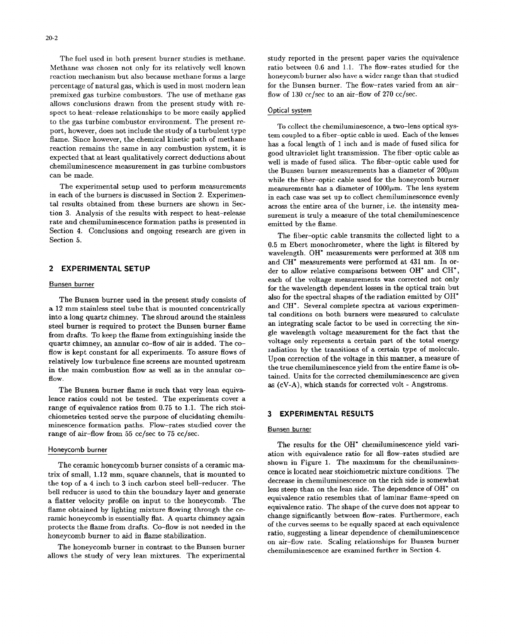Methane was chosen not only for its relatively well known ratio between 0.6 and 1.1. The flow-rates studied for the reaction mechanism but also because methane forms a large honeycomb burner also have a wider range than th reaction mechanism but also because methane forms a large percentage of natural gas, which is used in most modern lean for the Bunsen burner. The flow-rates varied from an airpremixed gas turbine combustors. The use of methane gas flow of 130 cc/sec to an air-flow of 270 cc/sec. allows conclusions drawn from the present study with respect to heat-release relationships to be more easily applied Optical system to the gas turbine combustor environment. The present re- To collect the chemiluminescence, a two-lens optical sysport, however, does not include the study of a turbulent type tem coupled to a fiber-optic cable is used. Each of the lenses flame. Since however, the chemical kinetic path of methane<br>reaction remains the same in any combustion system, it is exciton remains the same in any combustion system, it is<br>expected that at least qualitatively correct deductions about<br>chemiluminescence measurement in gas turbine combustors<br>the Bunsen burner measurements has a diameter o

in each of the burners is discussed in Section 2. Experimen- in each case was set up to collect chemiluminescence evenly tal results obtained from these burners are shown in Sec-<br>across the entire area of the burner, i.e. the intensity meation 3. Analysis of the results with respect to heat-release surement is truly a measure of the total chemiluminescence rate and chemiluminescence formation paths is presented in emitted by the flame. Section 4. Conclusions and ongoing research are given in The fiber-optic cable transmits the collected light to a

a 12 mm stainless steel tube that is mounted concentrically and CH<sup>\*</sup>. Several complete spectra at various experimen-<br>into a long quanta chimnou. The shaped around the stainless and conditions on both burners were measured into a long quartz chimney. The shroud around the stainless steel burner is required to protect the Bunsen burner flame an integrating scale factor to be used in correcting the sin-<br>from ducks. Te least that the sin-single scale wavelength voltage measurement for the fact that the from drafts. To keep the flame from extinguishing inside the gle wavelength voltage measurement for the fact that the gluenta china contains a certain part of the total energy quartz chimney, an annular co-flow of air is added. The co-<br>flow is least constant for all experiments. To assume flows of a caliation by the transitions of a certain type of molecule. flow is kept constant for all experiments. To assure flows of radiation by the transitions of a certain type of molecule.<br>
Upon correction of the voltage in this manner, a measure of relatively low turbulence fine screens are mounted upstream Upon correction of the voltage in this manner, a measure of<br>in the main combustion flow as well as in the annular second the true chemiluminescence yield from the in the main combustion flow as well as in the annular coflow.<br>
flow.<br>
flow.

lence ratios could not be tested. The experiments cover a range of equivalence ratios from 0.75 to 1.1. The rich stoichiometries tested serve the purpose of elucidating chemilu- 3 EXPERIMENTAL **RESULTS** minescence formation paths. Flow-rates studied cover the Bunsen burner range of air-flow from 55 cc/sec to 75 cc/sec.

trix of small, 1.12 mm, square channels, that is mounted to cence is located near stoichiometric mixture conditions. The the ten of a 4 inch te 3 inch square channels, that is mounted to decrease in chemiluminescence on th the top of a 4 inch to 3 inch carbon steel bell-reducer. The bell reducer is used to thin the boundary layer and generate less steep than on the lean side. The dependence of OH\* on a flatter velocity profile on input to the honeycomb. The equivalence ratio resembles that of laminar flame-speed on<br>flame obtained by lighting mixture flaming through the co. equivalence ratio. The shape of the curve does flame obtained by lighting mixture flowing through the ce-<br>ramic honoreantially flat. A quartz chimnou again change significantly between flow-rates. Furthermore, each ramic honeycomb is essentially flat. A quartz chimney again change significantly between flow-rates. Furthermore, each protects the flame from drafts. Co-flow is not needed in the honeycomb burner to aid in flame stabilization. The ratio, suggesting a linear dependence of chemiluminescence

The honeycomb burner in contrast to the Bunsen burner allows that how rate. Because of a mixtures are examined further in Section 4.

The fuel used in both present burner studies is methane. study reported in the present paper varies the equivalence

can be made.<br>
while the fiber-optic cable used for the honeycomb burner The experimental setup used to perform measurements measurements has a diameter of  $1000 \mu m$ . The lens system

Section 5. **Section 5. 1.0** method is the conclusion of the light is filtered by  $0.5$  m Ebert monochrometer, where the light is filtered by wavelength. OH\* measurements were performed at 308 nm and **CH\*** measurements were performed at 431 nm. In or-2 EXPERIMENTAL **SETUP** der to allow relative comparisons between OH\* and **CH\*,** Bunsen burner each of the voltage measurements was corrected not only for the wavelength dependent losses in the optical train but The Bunsen burner used in the present study consists of also for the spectral shapes of the radiation emitted by OH\*<br>2 mm stainless steal tube that is mounted consentriselly and CH\*. Several complete spectra at various exp The Bunsen burner flame is such that very lean equiva-<br>
as (cV-A), which stands for corrected volt - Angstroms.

Honeycomb burner The results for the OH<sup>\*</sup> chemiluminescence yield variation with equivalence ratio for all flow-rates studied axe The ceramic honeycomb burner consists of a ceramic ma-<br>shown in Figure 1. The maximum for the chemilumineson air-flow rate. Scaling relationships for Bunsen burner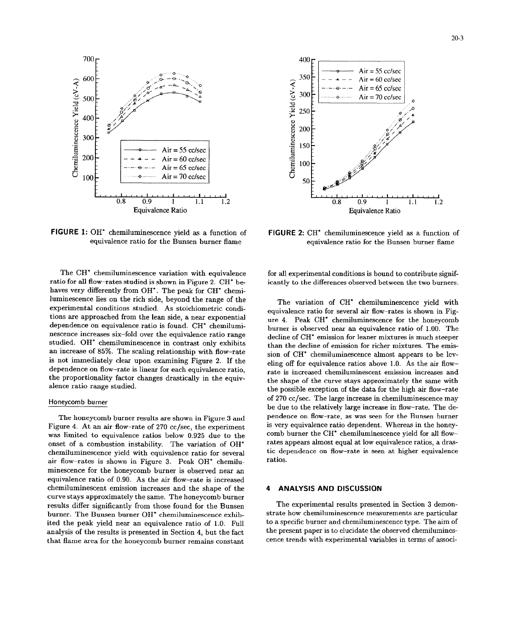

FIGURE 1: OH\* chemiluminescence yield as a function of equivalence ratio for the Bunsen burner flame

The CH<sup>\*</sup> chemiluminescence variation with equivalence ratio for all flow-rates studied is shown in Figure 2. CH\* behaves very differently from OH\*. The peak for CH\* chemiluminescence lies on the rich side, beyond the range of the experimental conditions studied. As stoichiometric conditions are approached from the lean side, a near exponential dependence on equivalence ratio is found. CH\* chemiluminescence increases six-fold over the equivalence ratio range studied. OH\* chemiluminescence in contrast only exhibits an increase of 85%. The scaling relationship with flow-rate is not immediately clear upon examining Figure 2. If the dependence on flow-rate is linear for each equivalence ratio. the proportionality factor changes drastically in the equivalence ratio range studied.

### Honeycomb burner

The honeycomb burner results are shown in Figure 3 and Figure 4. At an air flow-rate of 270 cc/sec, the experiment was limited to equivalence ratios below 0.925 due to the onset of a combustion instability. The variation of OH\* chemiluminescence yield with equivalence ratio for several air flow-rates is shown in Figure 3. Peak OH\* chemiluminescence for the honeycomb burner is observed near an equivalence ratio of 0.90. As the air flow-rate is increased chemiluminescent emission increases and the shape of the curve stays approximately the same. The honeycomb burner results differ significantly from those found for the Bunsen burner. The Bunsen burner OH\* chemiluminescence exhibited the peak yield near an equivalence ratio of 1.0. Full analysis of the results is presented in Section 4, but the fact that flame area for the honeycomb burner remains constant



FIGURE 2: CH<sup>\*</sup> chemiluminescence yield as a function of equivalence ratio for the Bunsen burner flame

for all experimental conditions is bound to contribute significantly to the differences observed between the two burners.

The variation of CH\* chemiluminescence yield with equivalence ratio for several air flow-rates is shown in Figure 4. Peak CH<sup>\*</sup> chemiluminescence for the honeycomb burner is observed near an equivalence ratio of 1.00. The decline of CH<sup>\*</sup> emission for leaner mixtures is much steeper than the decline of emission for richer mixtures. The emission of CH<sup>\*</sup> chemiluminescence almost appears to be leveling off for equivalence ratios above 1.0. As the air flowrate is increased chemiluminescent emission increases and the shape of the curve stays approximately the same with the possible exception of the data for the high air flow-rate of 270 cc/sec. The large increase in chemiluminescence may be due to the relatively large increase in flow-rate. The dependence on flow-rate, as was seen for the Bunsen burner is very equivalence ratio dependent. Whereas in the honeycomb burner the CH<sup>\*</sup> chemiluminescence yield for all flowrates appears almost equal at low equivalence ratios, a drastic dependence on flow-rate is seen at higher equivalence ratios.

### **ANALYSIS AND DISCUSSION** 4

The experimental results presented in Section 3 demonstrate how chemiluminescence measurements are particular to a specific burner and chemiluminescence type. The aim of the present paper is to elucidate the observed chemiluminescence trends with experimental variables in terms of associ-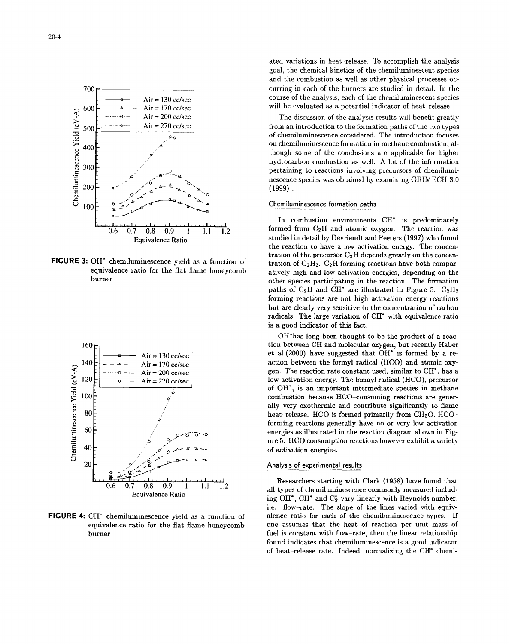



ated variations in heat-release. To accomplish the analysis goal, the chemical kinetics of the chemiluninescerit species and the combustion as well as other physical processes oc-700 **Curring in each of the burners are studied in detail.** In the course of the analysis, each of the chemiluminescent species  $600 - \cdot - - -$  - Air = 170 cc/sec will be evaluated as a potential indicator of heat-release.

Air = 200 cc/sec The discussion of the analysis results will benefit greatly<br>Air = 270 cc/sec The Structure of the analysis results will benefit greatly<br>from an introduction to the formation paths of the two types of chemiluminescence considered. The introduction focuses 4. 400 though some of the conclusions are applicable for higher though some of the conclusions are applicable for higher hydrocarbon combustion as well. A lot of the information 300<sup>1</sup> pertaining to reactions involving precursors of chemilumi-200...~. .nescence species was obtained by examining GRIMECH **3.0** "=E200 o ... / •. . **•.••(1999).**

In combustion environments **CH\*** is predominately  $0.6$   $0.7$   $0.8$   $0.9$   $1$   $1.1$   $1.2$  formed from C<sub>2</sub>H and atomic oxygen. The reaction was Equivalence Ratio studied in detail by Devriendt and Peeters (1997) who found the reaction to have a low activation energy. The concen-**FIGURE 3:** OH\* chemiluminescence yield as a function of the precursor C<sub>2</sub>H depends greatly on the concen-<br>**FIGURE 3:** OH\* chemiluminescence yield as a function of tration of C<sub>2</sub>H<sub>2</sub>. C<sub>2</sub>H forming reactions have both co equivalence ratio for the fiat flame honeycomb atively high and low activation energies, depending on the burner other species participating in the reaction. The formation paths of  $C_2H$  and CH<sup>\*</sup> are illustrated in Figure 5.  $C_2H_2$ forming reactions are not high activation energy reactions but are clearly very sensitive to the concentration of carbon radicals. The large variation of **CH\*** with equivalence ratio is a good indicator of this fact.

OH\*has long been thought to be the product of a reac-160<sub> $\Gamma$ </sub> tion between CH and molecular oxygen, but recently Haber  $Air = 130 \, \text{c}$ /sec et al.(2000) have suggested that OH\* is formed by a re- $140F$  -- Air = 170 cc/sec action between the formyl radical (HCO) and atomic oxy**a 120**  $\frac{1}{2}$  ..... Air = 200 cc/sec and  $\frac{120}{2}$  low activation energy. The formyl radical (HCO), precursor  $\frac{3}{20}$ <br>  $\frac{3}{20}$ <br>  $\frac{3}{20}$ <br>  $\frac{3}{20}$ <br>  $\frac{3}{20}$ <br>  $\frac{3}{20}$ <br>  $\frac{3}{20}$ <br>  $\frac{3}{20}$ <br>  $\frac{3}{20}$ <br>  $\frac{3}{20}$ <br>  $\frac{3}{20}$ <br>  $\frac{3}{20}$ <br>  $\frac{3}{20}$ <br>  $\frac{3}{20}$ <br>  $\frac{3}{20}$ <br>  $\frac{3}{20}$ <br>  $\frac{3}{20}$ <br>  $\frac{3}{20}$ <br>  $\frac{3$ combustion because HCO-consuming reactions are generally very exothermic and contribute significantly to flame **80 heat-release.** HCO is formed primarily from CH<sub>2</sub>O. HCOforming reactions generally have no or very low activation • **60** /energies as illustrated in the reaction diagram shown in Fig- ure 5. HCO consumption reactions however exhibit a variety **(U** 40 **A . -A** of activation energies.

**Researchers starting with Clark (1958) have found that**  $0.9 \quad 1 \quad 1.1 \quad 1.2$ 0.6 0.7 0.8 0.9 1 1.1 1.2 all types of chemiluminescence commonly measured includ-Equivalence Ratio and types of cheminal images continuous measured includes ing OH<sup>\*</sup>, CH<sup>\*</sup> and C<sub>2</sub><sup>\*</sup> vary linearly with Reynolds number, i.e. flow-rate. The slope of the lines varied with equiv-**FIGURE** 4: **CH'** chemiluminescence yield as a function of alence ratio for each of the chemiluminescence types. If equivalence ratio for the flat flame honeycomb one assumes that the heat of reaction per unit mass of burner **fuel is constant with flow-rate**, then the linear relationship found indicates that chemiluminescence is a good indicator of heat-release rate. Indeed, normalizing the **CH\*** chemi-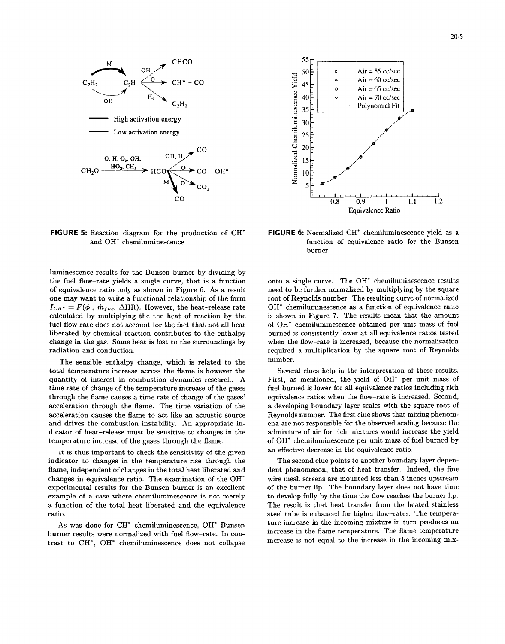

OH  $\sqrt{ }$  **SOE EXECUTE: Air = 55 cc/sec Normalized Chemiluminescence Yield**  $\sum_{P} 45$  CH<sup>+</sup> + CO  $\sum_{P} 45$  (a)  $\sum_{P} 45$  (a)  $\sum_{P} 45$  (a)  $\sum_{P} 45$  (a)  $\sum_{P} 45$  (a)  $\sum_{P} 45$  (a)  $\sum_{P} 45$  (a)  $\sum_{P} 45$  (a)  $\sum_{P} 45$  (a)  $\sum_{P} 45$  (a)  $\sum_{P} 45$  (a)  $\sum_{P} 45$  (a)  $\sum_{P} 45$  (a)  $\sum_{$  $\begin{array}{ccc}\n\mathbf{C_2H_2} & \mathbf{C_2H_3}\n\end{array}$  Air = 70 cc/sec  $35\frac{E}{1}$  Polynomial Fit  $10$  $\overline{0.8}$   $\overline{0.9}$  1 1.1 1.2 Equivalence Ratio

**FIGURE 5:** Reaction diagram for the production of **CH\* FIGURE 6:** Normalized **CH\*** chemiluminescence yield as a

luminescence results for the Bunsen burner by dividing by the fuel flow-rate yields a single curve, that is a function onto a single curve. The OH\* chemiluminescence results of equivalence ratio only as shown in Figure 6. As a result need to be further normalized by multiplying by the square one may want to write a functional relationship of the form root of Reynolds number. The resulting curve of normalized  $I_{CH^*} = F(\phi, m_{fuel} \Delta HR)$ . However, the heat-release rate OH<sup>\*</sup> chemiluminescence as a function of equivalence ratio calculated by multiplying the the heat of reaction by the is shown in Figure 7. The results mean that the am calculated by multiplying the the heat of reaction by the fuel flow rate does not account for the fact that not all heat of OH\* chemiluminescence obtained per unit mass of fuel liberated by chemical reaction contributes to the enthalpy burned is consistently lower at all equivalence ratios tested change in the gas. Some heat is lost to the surroundings by when the flow-rate is increased, because the normalization radiation and conduction. The required a multiplication by the square root of Reynolds

The sensible enthalpy change, which is related to the number. total temperature increase across the flame is however the Several clues help in the interpretation of these results. quantity of interest in combustion dynamics research. A First, as mentioned, the yield of OH\* per unit mass of time rate of change of the temperature increase of the gases fuel burned is lower for all equivalence ratios including rich through the flame causes a time rate of change of the gases' equivalence ratios when the flow-rate is increased. Second, acceleration through the flame. The time variation of the a developing boundary layer scales with the square root of acceleration causes the flame to act like an acoustic source Reynolds number. The first clue shows that mixing phenomand drives the combustion instability. An appropriate in- ena are not responsible for the observed scaling because the dicator of heat-release must be sensitive to changes in the admixture of air for rich mixtures would increase the yield temperature increase of the gases through the flame.  $\qquad \qquad$  of OH\* chemiluminescence per unit mass of fuel burned by

It is thus important to check the sensitivity of the given an effective decrease in the equivalence ratio. indicator to changes in the temperature rise through the The second clue points to another boundary layer depenflame, independent of changes in the total heat liberated and dent phenomenon, that of heat transfer. Indeed, the fine changes in equivalence ratio. The examination of the OH\* wire mesh screens are mounted less than 5 inches upstream experimental results for the Bunsen burner is an excellent of the burner lip. The boundary layer does not have time example of a case where chemiluminescence is not merely to develop fully by the time the flow reaches the burner lip. a function of the total heat liberated and the equivalence The result is that heat transfer from the heated stainless ratio. Steel tube is enhanced for higher flow-rates. The tempera-

burner results were normalized with fuel flow-rate. In contrast to CH<sup>\*</sup>, OH<sup>\*</sup> chemiluminescence does not collapse increase is not equal to the increase in the incoming mix-

and OH\* chemiluminescence function of equivalence ratio for the Bunsen burner

As was done for CH<sup>\*</sup> chemiluminescence, OH<sup>\*</sup> Bunsen ture increase in the incoming mixture in turn produces an increase in the flame temperature. The flame temperature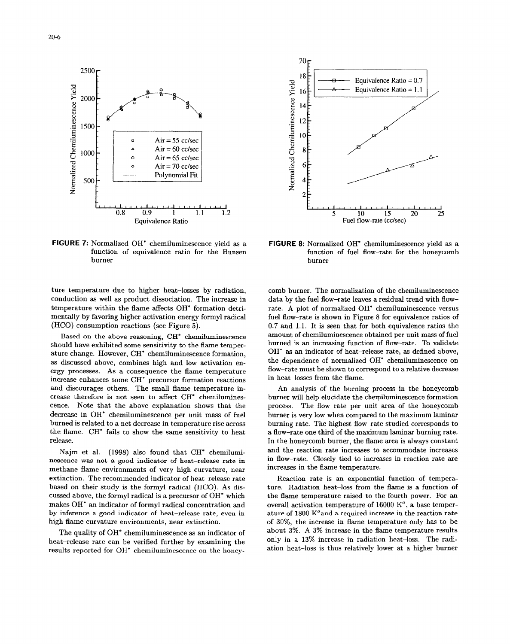

**FIGURE 7:** Normalized OH\* chemiluminescence yield as a **FIGURE** 8: Normalized OH\* chemiluminescence yield as a burner burner

ture temperature due to higher heat-losses by radiation, comb burner. The normalization of the chemiluminescence conduction as well as product dissociation. The increase in data by the fuel flow-rate leaves a residual trend with flowtemperature within the flame affects OH\* formation detri- rate. A plot of normalized OH\* chemiluminescence versus mentally by favoring higher activation energy formyl radical fuel flow-rate is shown in Figure 8 for equivalence ratios of (HCO) consumption reactions (see Figure 5). 0.7 and 1.1. It is seen that for both equivalence ratios the

should have exhibited some sensitivity to the flame temper- burned is an increasing function of flow-rate. To validate ature change. However, **CH\*** chemiluminescence formation, OH\* as an indicator of heat-release rate, as defined above, as discussed above, combines high and low activation en-<br>the dependence of normalized OH\* chemiluminescence on ergy processes. As a consequence the flame temperature flow-rate must be shown to correspond to a relative decrease increase enhances some **CH\*** precursor formation reactions in heat-losses from the flame. and discourages others. The small flame temperature in- An analysis of the burning process in the honeycomb crease therefore is not seen to affect **CH\*** chemilumines- burner will help elucidate the chemiluminescence formation cence. Note that the above explanation shows that the process. The flow-rate per unit area of the honeycomb decrease in OH<sup>\*</sup> chemiluminescence per unit mass of fuel burner is very low when compared to the maximum laminar burned is related to a net decrease in temperature rise across burning rate. The highest flow-rate studied corresponds to the flame. **CH\*** fails to show the same sensitivity to heat a flow-rate one third of the maximum laminar burning rate. release. In the honeycomb burner, the flame area is always constant

nescence was not a good indicator of heat-release rate in in flow-rate. Closely tied to increases in reaction rate are methane flame environments of very high curvature, near increases in the flame temperature. extinction. The recommended indicator of heat-release rate Reaction rate is an exponential function of temperabased on their study is the formyl radical (HCO). As dis- ture. Radiation heat-loss from the flame is a function of cussed above, the formyl radical is a precursor of OH\* which the flame temperature raised to the fourth power. For an makes OH<sup>\*</sup> an indicator of formyl radical concentration and overall activation temperature of 16000 K<sup>o</sup>, a base temperby inference a good indicator of heat-release rate, even in ature of 1800  $K^o$  and a required increase in the reaction rate high flame curvature environments, near extinction.  $\qquad \qquad$  of 30%, the increase in flame temperature only has to be

heat-release rate can be verified further by examining the only in a 13% increase in radiation heat-loss. The radiresults reported for OH\* chemiluminescence on the honey- ation heat-loss is thus relatively lower at a higher burner



function of equivalence ratio for the Bunsen function of fuel flow-rate for the honeycomb

Based on the above reasoning, CH<sup>\*</sup> chemiluminescence amount of chemiluminescence obtained per unit mass of fuel

Najm et al. (1998) also found that **CH\*** chemilumi- and the reaction rate increases to accommodate increases

The quality of OH<sup>\*</sup> chemiluminescence as an indicator of about 3%. A 3% increase in the flame temperature results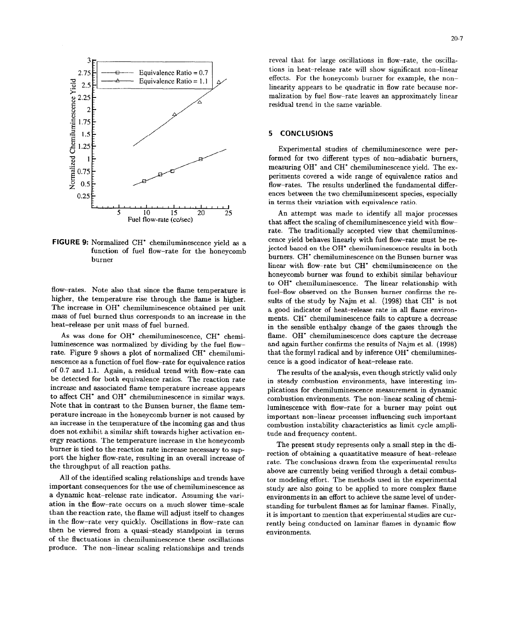

higher, the temperature rise through the flame is higher. sults of the study by Naim et al. (1998) that CH<sup>\*</sup> is not The increase in OH\* chemiluminescence obtained per unit a good indicator of heat-release rate in all flame environmass of fuel burned thus corresponds to an increase in the ments. **CH\*** chemiluminescence fails to capture a decrease

luminescence was normalized by dividing by the fuel flow- and again further confirms the results of Najm et al. (1998) rate. Figure 9 shows a plot of normalized CH<sup>\*</sup> chemilumi- that the formyl radical and by inference OH<sup>\*</sup> chemiluminesnescence as a function of fuel flow-rate for equivalence ratios cence is a good indicator of heat-release rate. of 0.7 and 1.1. Again, a residual trend with flow-rate can The results of the analysis, even though strictly valid only be detected for both equivalence ratios. The reaction rate in steady combustion environments, have interesting imincrease and associated flame temperature increase appears plications for chemiluminescence measurement in dynamic to affect CH<sup>\*</sup> and OH<sup>\*</sup> chemiluminescence in similar ways. combustion environments. The non-linear scaling of chemi-Note that in contrast to the Bunsen burner, the flame tem- luminescence with flow-rate for a burner may point out perature increase in the honeycomb burner is not caused by important non-linear processes influencing such important an increase in the temperature of the incoming gas and thus combustion instability characteristics as limit cycle amplidoes not exhibit a similar shift towards higher activation en- tude and frequency content. ergy reactions. The temperature increase in the honeycomb The present study represents only a small step in the diburner is tied to the reaction rate increase necessary to sup-<br>rection of obtaining a quantitative measure of heat-release port the higher flow-rate, resulting in an overall increase of rate. The conclusions drawn from the experimental results

important consequences for the use of chemiluminescence as study are also going to be applied to more complex flame a dynamic heat-release rate indicator. Assuming the vari- environments in an effort to achieve the same level of underation in the flow-rate occurs on a much slower time-scale standing for turbulent flames as for laminar flames. Finally, than the reaction rate, the flame will adjust itself to changes it is important to mention that experimental studies are curin the flow-rate very quickly. Oscillations in flow-rate can rently being conducted on laminar flames in dynamic flow then be viewed from a quasi-steady standpoint in terms environments. of the fluctuations in chemiluminescence these oscillations produce. The non-linear scaling relationships and trends

reveal that for large oscillations in flow-rate, the oscilla- $2.75$   $\left[\frac{1}{2.75}\right]$   $\left[\frac{1}{2.75}\right]$   $\left[\frac{1}{2.75}\right]$   $\left[\frac{1}{2.75}\right]$   $\left[\frac{1}{2.75}\right]$   $\left[\frac{1}{2.75}\right]$   $\left[\frac{1}{2.75}\right]$   $\left[\frac{1}{2.75}\right]$   $\left[\frac{1}{2.75}\right]$   $\left[\frac{1}{2.75}\right]$   $\left[\frac{1}{2.75}\right]$   $\left[\frac{1}{2.75}\right]$   $\left[\frac{1}{2.$ 2.5 E  $\frac{2.5}{2.5}$  Equivalence Ratio = 1.1 or effects. For the honeycomb burner for example, the non-<br>2.25

formed for two different types of non-adiabatic burners, neasuring OH<sup>\*</sup> and CH<sup>\*</sup> chemiluminescence yield. The experiments covered a wide range of equivalence ratios and flow-rates. The results underlined the fundamental differ- $0.25 \frac{E}{10.25}$  ences between the two chemiluminescent species, especially in terms their variation with equivalence ratio.

5 10 15 20 25 An attempt was made to identify all major processes<br>Fuel flow-rate (cc/sec) that affect the scaling of chemiluminescence yield with flowrate. The traditionally accepted view that chemilumines-FIGURE 9: Normalized CH<sup>\*</sup> chemiluminescence yield as a cence yield behaves linearly with fuel flow-rate must be refunction of fuel flow-rate for the honeycomb jected based on the OH\* chemiluminescence results in both burners. CH<sup>\*</sup> chemiluminescence on the Bunsen burner was burner linear with flow-rate but **CH\*** chemiluminescence on the honeycomb burner was found to exhibit similar behaviour to OH\* chemiluminescence. The linear relationship with flow-rates. Note also that since the flame temperature is fuel-flow observed on the Bunsen burner confirms the reheat-release per unit mass of fuel burned. in the sensible enthalpy change of the gases through the As was done for OH<sup>\*</sup> chemiluminescence, CH<sup>\*</sup> chemi- flame. OH<sup>\*</sup> chemiluminescence does capture the decrease

the throughput of all reaction paths.<br>above are currently being verified through a detail combus-All of the identified scaling relationships and trends have tor modeling effort. The methods used in the experimental